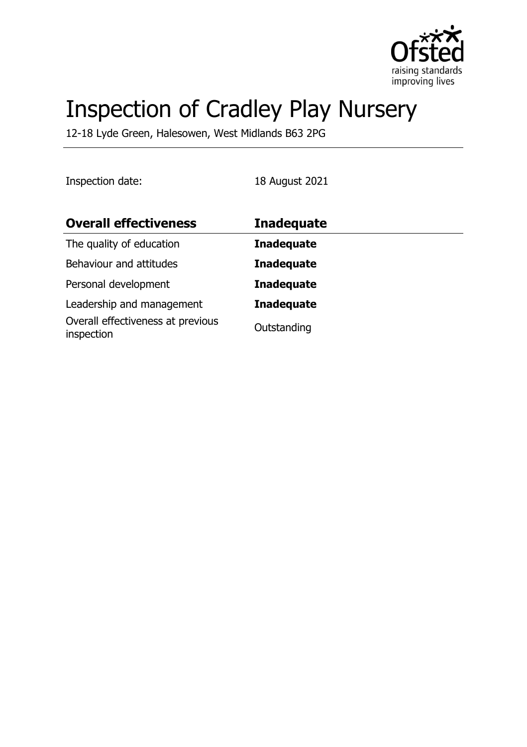

# Inspection of Cradley Play Nursery

12-18 Lyde Green, Halesowen, West Midlands B63 2PG

Inspection date: 18 August 2021

| <b>Overall effectiveness</b>                    | <b>Inadequate</b> |
|-------------------------------------------------|-------------------|
| The quality of education                        | <b>Inadequate</b> |
| Behaviour and attitudes                         | <b>Inadequate</b> |
| Personal development                            | <b>Inadequate</b> |
| Leadership and management                       | <b>Inadequate</b> |
| Overall effectiveness at previous<br>inspection | Outstanding       |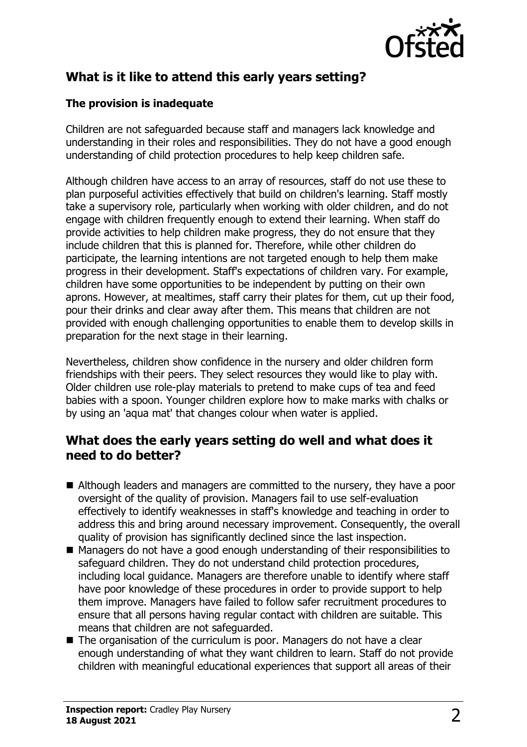

# **What is it like to attend this early years setting?**

## **The provision is inadequate**

Children are not safeguarded because staff and managers lack knowledge and understanding in their roles and responsibilities. They do not have a good enough understanding of child protection procedures to help keep children safe.

Although children have access to an array of resources, staff do not use these to plan purposeful activities effectively that build on children's learning. Staff mostly take a supervisory role, particularly when working with older children, and do not engage with children frequently enough to extend their learning. When staff do provide activities to help children make progress, they do not ensure that they include children that this is planned for. Therefore, while other children do participate, the learning intentions are not targeted enough to help them make progress in their development. Staff's expectations of children vary. For example, children have some opportunities to be independent by putting on their own aprons. However, at mealtimes, staff carry their plates for them, cut up their food, pour their drinks and clear away after them. This means that children are not provided with enough challenging opportunities to enable them to develop skills in preparation for the next stage in their learning.

Nevertheless, children show confidence in the nursery and older children form friendships with their peers. They select resources they would like to play with. Older children use role-play materials to pretend to make cups of tea and feed babies with a spoon. Younger children explore how to make marks with chalks or by using an 'aqua mat' that changes colour when water is applied.

## **What does the early years setting do well and what does it need to do better?**

- $\blacksquare$  Although leaders and managers are committed to the nursery, they have a poor oversight of the quality of provision. Managers fail to use self-evaluation effectively to identify weaknesses in staff's knowledge and teaching in order to address this and bring around necessary improvement. Consequently, the overall quality of provision has significantly declined since the last inspection.
- Managers do not have a good enough understanding of their responsibilities to safeguard children. They do not understand child protection procedures, including local guidance. Managers are therefore unable to identify where staff have poor knowledge of these procedures in order to provide support to help them improve. Managers have failed to follow safer recruitment procedures to ensure that all persons having regular contact with children are suitable. This means that children are not safeguarded.
- $\blacksquare$  The organisation of the curriculum is poor. Managers do not have a clear enough understanding of what they want children to learn. Staff do not provide children with meaningful educational experiences that support all areas of their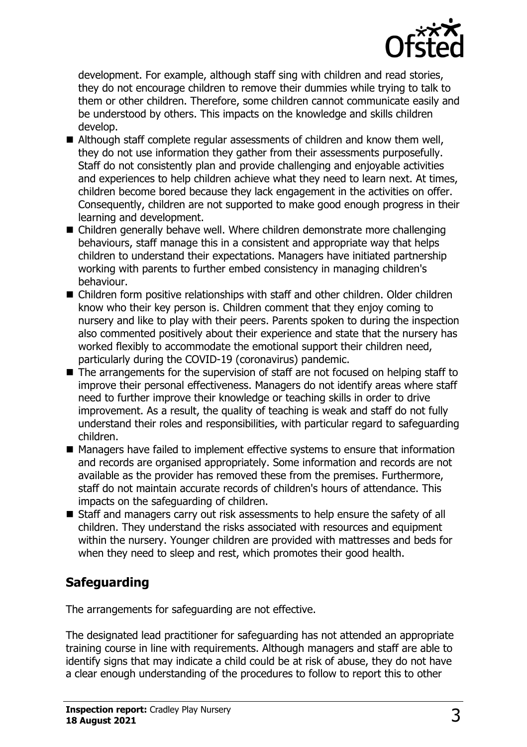

development. For example, although staff sing with children and read stories, they do not encourage children to remove their dummies while trying to talk to them or other children. Therefore, some children cannot communicate easily and be understood by others. This impacts on the knowledge and skills children develop.

- $\blacksquare$  Although staff complete regular assessments of children and know them well, they do not use information they gather from their assessments purposefully. Staff do not consistently plan and provide challenging and enjoyable activities and experiences to help children achieve what they need to learn next. At times, children become bored because they lack engagement in the activities on offer. Consequently, children are not supported to make good enough progress in their learning and development.
- Children generally behave well. Where children demonstrate more challenging behaviours, staff manage this in a consistent and appropriate way that helps children to understand their expectations. Managers have initiated partnership working with parents to further embed consistency in managing children's behaviour.
- $\blacksquare$  Children form positive relationships with staff and other children. Older children know who their key person is. Children comment that they enjoy coming to nursery and like to play with their peers. Parents spoken to during the inspection also commented positively about their experience and state that the nursery has worked flexibly to accommodate the emotional support their children need, particularly during the COVID-19 (coronavirus) pandemic.
- $\blacksquare$  The arrangements for the supervision of staff are not focused on helping staff to improve their personal effectiveness. Managers do not identify areas where staff need to further improve their knowledge or teaching skills in order to drive improvement. As a result, the quality of teaching is weak and staff do not fully understand their roles and responsibilities, with particular regard to safeguarding children.
- $\blacksquare$  Managers have failed to implement effective systems to ensure that information and records are organised appropriately. Some information and records are not available as the provider has removed these from the premises. Furthermore, staff do not maintain accurate records of children's hours of attendance. This impacts on the safeguarding of children.
- Staff and managers carry out risk assessments to help ensure the safety of all children. They understand the risks associated with resources and equipment within the nursery. Younger children are provided with mattresses and beds for when they need to sleep and rest, which promotes their good health.

# **Safeguarding**

The arrangements for safeguarding are not effective.

The designated lead practitioner for safeguarding has not attended an appropriate training course in line with requirements. Although managers and staff are able to identify signs that may indicate a child could be at risk of abuse, they do not have a clear enough understanding of the procedures to follow to report this to other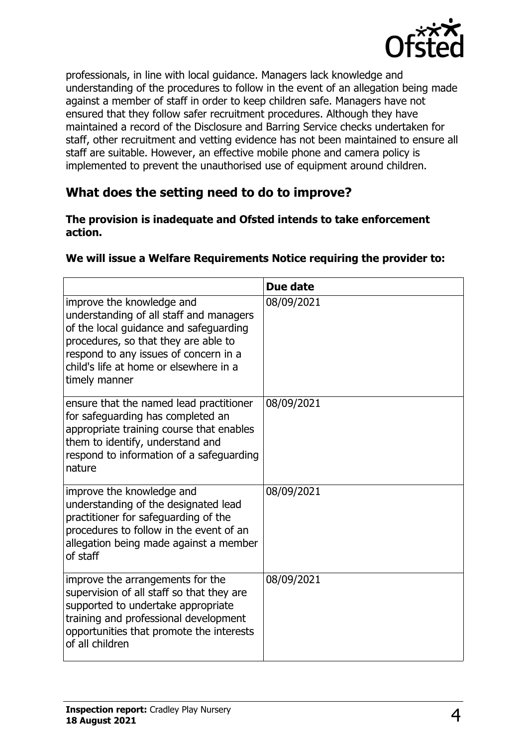

professionals, in line with local guidance. Managers lack knowledge and understanding of the procedures to follow in the event of an allegation being made against a member of staff in order to keep children safe. Managers have not ensured that they follow safer recruitment procedures. Although they have maintained a record of the Disclosure and Barring Service checks undertaken for staff, other recruitment and vetting evidence has not been maintained to ensure all staff are suitable. However, an effective mobile phone and camera policy is implemented to prevent the unauthorised use of equipment around children.

## **What does the setting need to do to improve?**

#### **The provision is inadequate and Ofsted intends to take enforcement action.**

|                                                                                                                                                                                                                                                            | Due date   |
|------------------------------------------------------------------------------------------------------------------------------------------------------------------------------------------------------------------------------------------------------------|------------|
| improve the knowledge and<br>understanding of all staff and managers<br>of the local guidance and safeguarding<br>procedures, so that they are able to<br>respond to any issues of concern in a<br>child's life at home or elsewhere in a<br>timely manner | 08/09/2021 |
| ensure that the named lead practitioner<br>for safeguarding has completed an<br>appropriate training course that enables<br>them to identify, understand and<br>respond to information of a safeguarding<br>nature                                         | 08/09/2021 |
| improve the knowledge and<br>understanding of the designated lead<br>practitioner for safeguarding of the<br>procedures to follow in the event of an<br>allegation being made against a member<br>of staff                                                 | 08/09/2021 |
| improve the arrangements for the<br>supervision of all staff so that they are<br>supported to undertake appropriate<br>training and professional development<br>opportunities that promote the interests<br>of all children                                | 08/09/2021 |

#### **We will issue a Welfare Requirements Notice requiring the provider to:**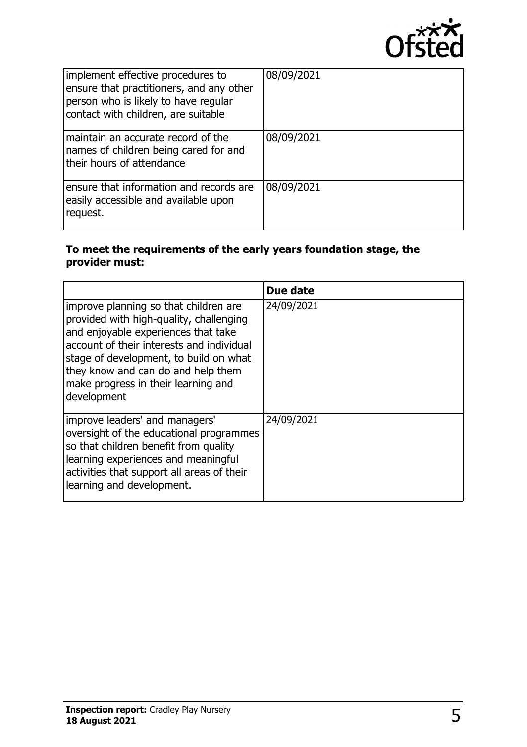

| implement effective procedures to<br>ensure that practitioners, and any other<br>person who is likely to have regular<br>contact with children, are suitable | 08/09/2021 |
|--------------------------------------------------------------------------------------------------------------------------------------------------------------|------------|
| maintain an accurate record of the<br>names of children being cared for and<br>their hours of attendance                                                     | 08/09/2021 |
| ensure that information and records are<br>easily accessible and available upon<br>request.                                                                  | 08/09/2021 |

## **To meet the requirements of the early years foundation stage, the provider must:**

|                                                                                                                                                                                                                                                                                                            | Due date   |
|------------------------------------------------------------------------------------------------------------------------------------------------------------------------------------------------------------------------------------------------------------------------------------------------------------|------------|
| improve planning so that children are<br>provided with high-quality, challenging<br>and enjoyable experiences that take<br>account of their interests and individual<br>stage of development, to build on what<br>they know and can do and help them<br>make progress in their learning and<br>development | 24/09/2021 |
| improve leaders' and managers'<br>oversight of the educational programmes<br>so that children benefit from quality<br>learning experiences and meaningful<br>activities that support all areas of their<br>learning and development.                                                                       | 24/09/2021 |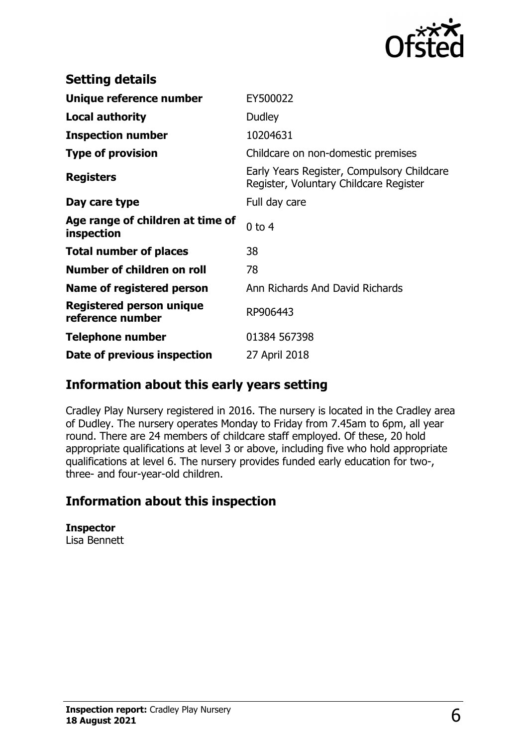

| <b>Setting details</b>                         |                                                                                      |
|------------------------------------------------|--------------------------------------------------------------------------------------|
| Unique reference number                        | EY500022                                                                             |
| <b>Local authority</b>                         | Dudley                                                                               |
| <b>Inspection number</b>                       | 10204631                                                                             |
| <b>Type of provision</b>                       | Childcare on non-domestic premises                                                   |
| <b>Registers</b>                               | Early Years Register, Compulsory Childcare<br>Register, Voluntary Childcare Register |
| Day care type                                  | Full day care                                                                        |
| Age range of children at time of<br>inspection | $0$ to $4$                                                                           |
| <b>Total number of places</b>                  | 38                                                                                   |
| Number of children on roll                     | 78                                                                                   |
| Name of registered person                      | Ann Richards And David Richards                                                      |
| Registered person unique<br>reference number   | RP906443                                                                             |
| Telephone number                               | 01384 567398                                                                         |
| Date of previous inspection                    | 27 April 2018                                                                        |

## **Information about this early years setting**

Cradley Play Nursery registered in 2016. The nursery is located in the Cradley area of Dudley. The nursery operates Monday to Friday from 7.45am to 6pm, all year round. There are 24 members of childcare staff employed. Of these, 20 hold appropriate qualifications at level 3 or above, including five who hold appropriate qualifications at level 6. The nursery provides funded early education for two-, three- and four-year-old children.

## **Information about this inspection**

**Inspector** Lisa Bennett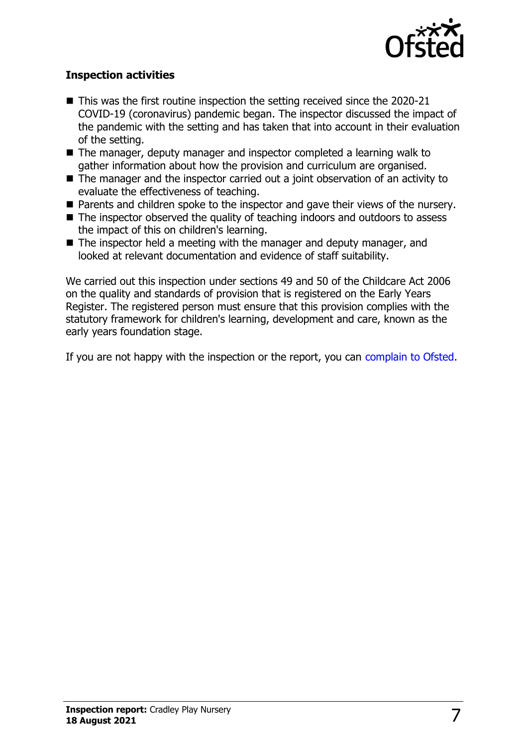

## **Inspection activities**

- $\blacksquare$  This was the first routine inspection the setting received since the 2020-21 COVID-19 (coronavirus) pandemic began. The inspector discussed the impact of the pandemic with the setting and has taken that into account in their evaluation of the setting.
- The manager, deputy manager and inspector completed a learning walk to gather information about how the provision and curriculum are organised.
- $\blacksquare$  The manager and the inspector carried out a joint observation of an activity to evaluate the effectiveness of teaching.
- $\blacksquare$  Parents and children spoke to the inspector and gave their views of the nursery.
- $\blacksquare$  The inspector observed the quality of teaching indoors and outdoors to assess the impact of this on children's learning.
- $\blacksquare$  The inspector held a meeting with the manager and deputy manager, and looked at relevant documentation and evidence of staff suitability.

We carried out this inspection under sections 49 and 50 of the Childcare Act 2006 on the quality and standards of provision that is registered on the Early Years Register. The registered person must ensure that this provision complies with the statutory framework for children's learning, development and care, known as the early years foundation stage.

If you are not happy with the inspection or the report, you can [complain to Ofsted](http://www.gov.uk/complain-ofsted-report).